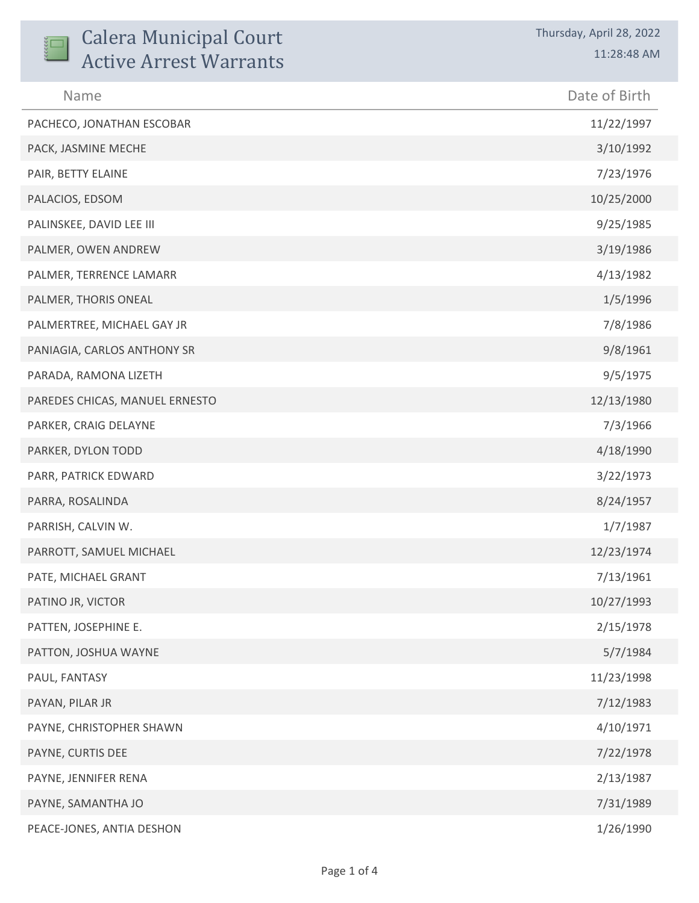| <b>Calera Municipal Court</b><br><b>Active Arrest Warrants</b> | Thursday, April 28, 2022<br>11:28:48 AM |
|----------------------------------------------------------------|-----------------------------------------|
| Name                                                           | Date of Birth                           |
| PACHECO, JONATHAN ESCOBAR                                      | 11/22/1997                              |
| PACK, JASMINE MECHE                                            | 3/10/1992                               |
| PAIR, BETTY ELAINE                                             | 7/23/1976                               |
| PALACIOS, EDSOM                                                | 10/25/2000                              |
| PALINSKEE, DAVID LEE III                                       | 9/25/1985                               |
| PALMER, OWEN ANDREW                                            | 3/19/1986                               |
| PALMER, TERRENCE LAMARR                                        | 4/13/1982                               |
| PALMER, THORIS ONEAL                                           | 1/5/1996                                |
| PALMERTREE, MICHAEL GAY JR                                     | 7/8/1986                                |
| PANIAGIA, CARLOS ANTHONY SR                                    | 9/8/1961                                |
| PARADA, RAMONA LIZETH                                          | 9/5/1975                                |
| PAREDES CHICAS, MANUEL ERNESTO                                 | 12/13/1980                              |
| PARKER, CRAIG DELAYNE                                          | 7/3/1966                                |
| PARKER, DYLON TODD                                             | 4/18/1990                               |
| PARR, PATRICK EDWARD                                           | 3/22/1973                               |
| PARRA, ROSALINDA                                               | 8/24/1957                               |
| PARRISH, CALVIN W.                                             | 1/7/1987                                |
| PARROTT, SAMUEL MICHAEL                                        | 12/23/1974                              |
| PATE, MICHAEL GRANT                                            | 7/13/1961                               |
| PATINO JR, VICTOR                                              | 10/27/1993                              |
| PATTEN, JOSEPHINE E.                                           | 2/15/1978                               |
| PATTON, JOSHUA WAYNE                                           | 5/7/1984                                |
| PAUL, FANTASY                                                  | 11/23/1998                              |
| PAYAN, PILAR JR                                                | 7/12/1983                               |
| PAYNE, CHRISTOPHER SHAWN                                       | 4/10/1971                               |
| PAYNE, CURTIS DEE                                              | 7/22/1978                               |
| PAYNE, JENNIFER RENA                                           | 2/13/1987                               |
| PAYNE, SAMANTHA JO                                             | 7/31/1989                               |
| PEACE-JONES, ANTIA DESHON                                      | 1/26/1990                               |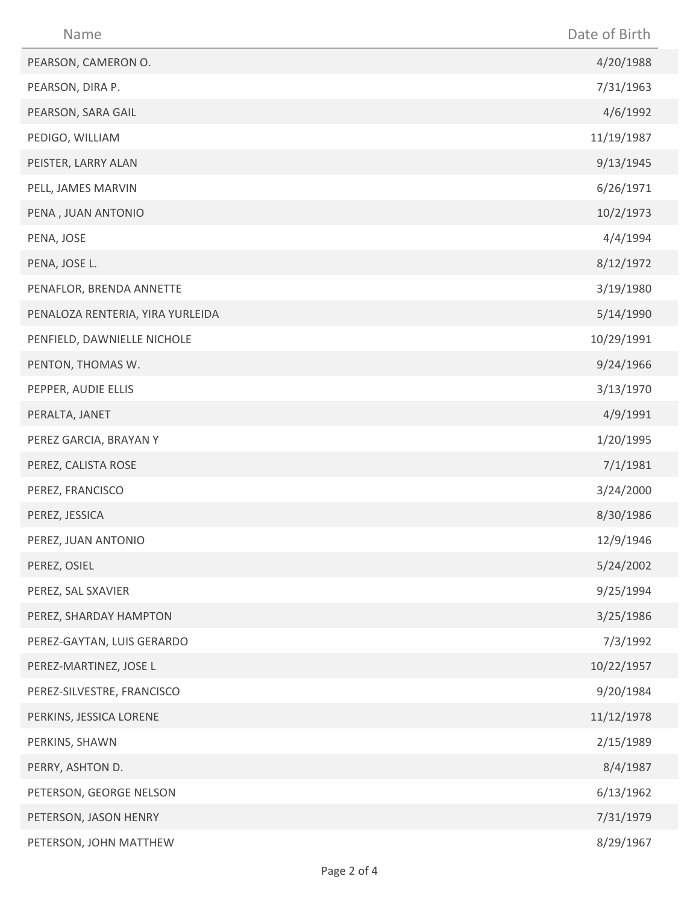| Name                             | Date of Birth |
|----------------------------------|---------------|
| PEARSON, CAMERON O.              | 4/20/1988     |
| PEARSON, DIRA P.                 | 7/31/1963     |
| PEARSON, SARA GAIL               | 4/6/1992      |
| PEDIGO, WILLIAM                  | 11/19/1987    |
| PEISTER, LARRY ALAN              | 9/13/1945     |
| PELL, JAMES MARVIN               | 6/26/1971     |
| PENA, JUAN ANTONIO               | 10/2/1973     |
| PENA, JOSE                       | 4/4/1994      |
| PENA, JOSE L.                    | 8/12/1972     |
| PENAFLOR, BRENDA ANNETTE         | 3/19/1980     |
| PENALOZA RENTERIA, YIRA YURLEIDA | 5/14/1990     |
| PENFIELD, DAWNIELLE NICHOLE      | 10/29/1991    |
| PENTON, THOMAS W.                | 9/24/1966     |
| PEPPER, AUDIE ELLIS              | 3/13/1970     |
| PERALTA, JANET                   | 4/9/1991      |
| PEREZ GARCIA, BRAYAN Y           | 1/20/1995     |
| PEREZ, CALISTA ROSE              | 7/1/1981      |
| PEREZ, FRANCISCO                 | 3/24/2000     |
| PEREZ, JESSICA                   | 8/30/1986     |
| PEREZ, JUAN ANTONIO              | 12/9/1946     |
| PEREZ, OSIEL                     | 5/24/2002     |
| PEREZ, SAL SXAVIER               | 9/25/1994     |
| PEREZ, SHARDAY HAMPTON           | 3/25/1986     |
| PEREZ-GAYTAN, LUIS GERARDO       | 7/3/1992      |
| PEREZ-MARTINEZ, JOSE L           | 10/22/1957    |
| PEREZ-SILVESTRE, FRANCISCO       | 9/20/1984     |
| PERKINS, JESSICA LORENE          | 11/12/1978    |
| PERKINS, SHAWN                   | 2/15/1989     |
| PERRY, ASHTON D.                 | 8/4/1987      |
| PETERSON, GEORGE NELSON          | 6/13/1962     |
| PETERSON, JASON HENRY            | 7/31/1979     |
| PETERSON, JOHN MATTHEW           | 8/29/1967     |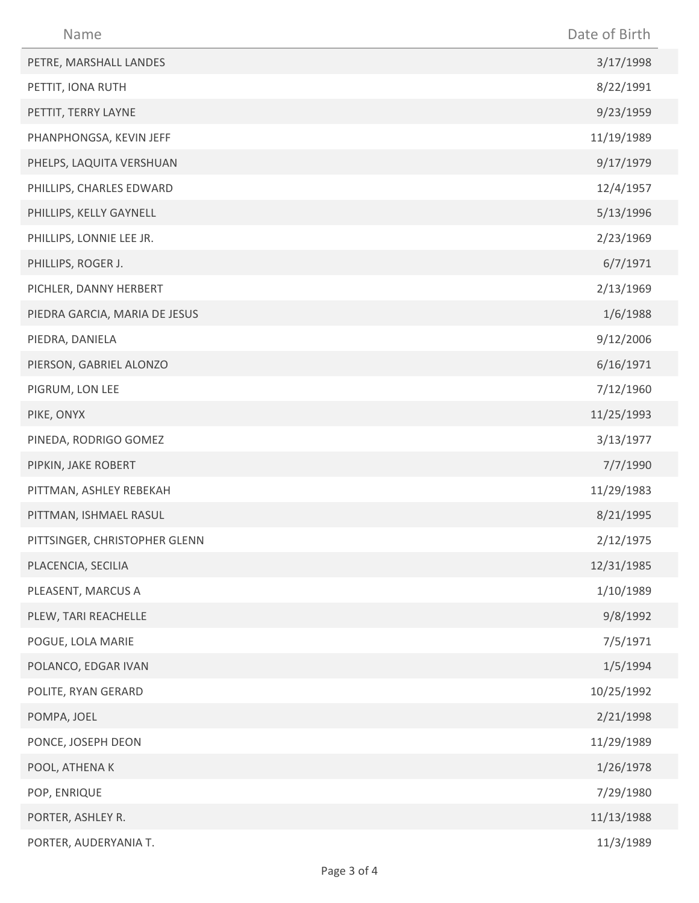| Name                          | Date of Birth |
|-------------------------------|---------------|
| PETRE, MARSHALL LANDES        | 3/17/1998     |
| PETTIT, IONA RUTH             | 8/22/1991     |
| PETTIT, TERRY LAYNE           | 9/23/1959     |
| PHANPHONGSA, KEVIN JEFF       | 11/19/1989    |
| PHELPS, LAQUITA VERSHUAN      | 9/17/1979     |
| PHILLIPS, CHARLES EDWARD      | 12/4/1957     |
| PHILLIPS, KELLY GAYNELL       | 5/13/1996     |
| PHILLIPS, LONNIE LEE JR.      | 2/23/1969     |
| PHILLIPS, ROGER J.            | 6/7/1971      |
| PICHLER, DANNY HERBERT        | 2/13/1969     |
| PIEDRA GARCIA, MARIA DE JESUS | 1/6/1988      |
| PIEDRA, DANIELA               | 9/12/2006     |
| PIERSON, GABRIEL ALONZO       | 6/16/1971     |
| PIGRUM, LON LEE               | 7/12/1960     |
| PIKE, ONYX                    | 11/25/1993    |
| PINEDA, RODRIGO GOMEZ         | 3/13/1977     |
| PIPKIN, JAKE ROBERT           | 7/7/1990      |
| PITTMAN, ASHLEY REBEKAH       | 11/29/1983    |
| PITTMAN, ISHMAEL RASUL        | 8/21/1995     |
| PITTSINGER, CHRISTOPHER GLENN | 2/12/1975     |
| PLACENCIA, SECILIA            | 12/31/1985    |
| PLEASENT, MARCUS A            | 1/10/1989     |
| PLEW, TARI REACHELLE          | 9/8/1992      |
| POGUE, LOLA MARIE             | 7/5/1971      |
| POLANCO, EDGAR IVAN           | 1/5/1994      |
| POLITE, RYAN GERARD           | 10/25/1992    |
| POMPA, JOEL                   | 2/21/1998     |
| PONCE, JOSEPH DEON            | 11/29/1989    |
| POOL, ATHENA K                | 1/26/1978     |
| POP, ENRIQUE                  | 7/29/1980     |
| PORTER, ASHLEY R.             | 11/13/1988    |
| PORTER, AUDERYANIA T.         | 11/3/1989     |